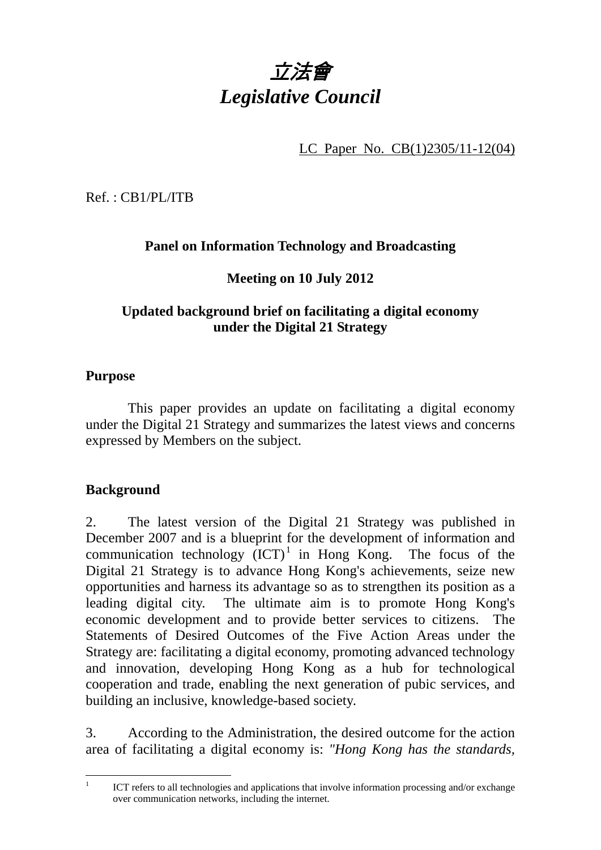

LC Paper No. CB(1)2305/11-12(04)

Ref. : CB1/PL/ITB

# **Panel on Information Technology and Broadcasting**

# **Meeting on 10 July 2012**

# **Updated background brief on facilitating a digital economy under the Digital 21 Strategy**

### **Purpose**

1. This paper provides an update on facilitating a digital economy under the Digital 21 Strategy and summarizes the latest views and concerns expressed by Members on the subject.

## **Background**

2. The latest version of the Digital 21 Strategy was published in December 2007 and is a blueprint for the development of information and communication technology  $(ICT)^1$  in Hong Kong. The focus of the Digital 21 Strategy is to advance Hong Kong's achievements, seize new opportunities and harness its advantage so as to strengthen its position as a leading digital city. The ultimate aim is to promote Hong Kong's economic development and to provide better services to citizens. The Statements of Desired Outcomes of the Five Action Areas under the Strategy are: facilitating a digital economy, promoting advanced technology and innovation, developing Hong Kong as a hub for technological cooperation and trade, enabling the next generation of pubic services, and building an inclusive, knowledge-based society.

3. According to the Administration, the desired outcome for the action area of facilitating a digital economy is: *"Hong Kong has the standards,* 

 $\frac{1}{1}$  ICT refers to all technologies and applications that involve information processing and/or exchange over communication networks, including the internet.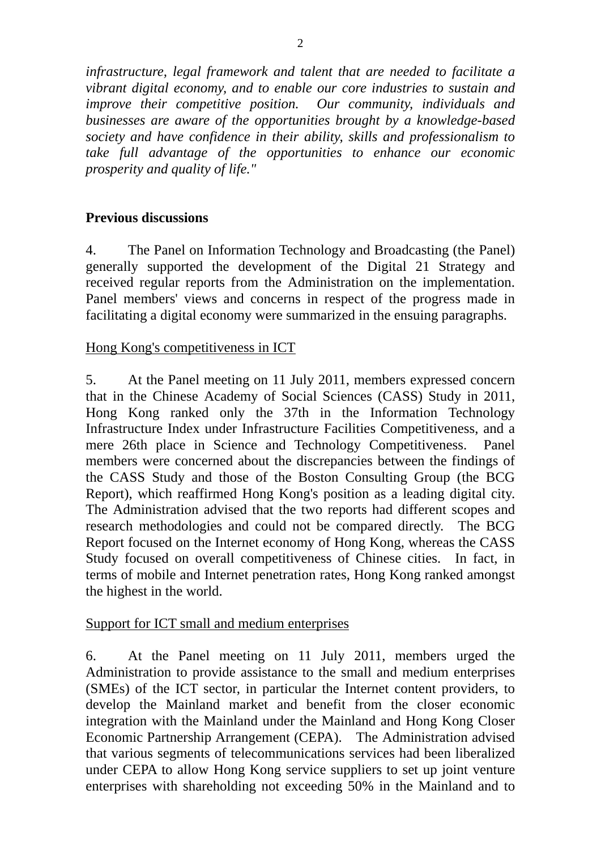*infrastructure, legal framework and talent that are needed to facilitate a vibrant digital economy, and to enable our core industries to sustain and improve their competitive position. Our community, individuals and businesses are aware of the opportunities brought by a knowledge-based society and have confidence in their ability, skills and professionalism to take full advantage of the opportunities to enhance our economic prosperity and quality of life."*

#### **Previous discussions**

4. The Panel on Information Technology and Broadcasting (the Panel) generally supported the development of the Digital 21 Strategy and received regular reports from the Administration on the implementation. Panel members' views and concerns in respect of the progress made in facilitating a digital economy were summarized in the ensuing paragraphs.

### Hong Kong's competitiveness in ICT

5. At the Panel meeting on 11 July 2011, members expressed concern that in the Chinese Academy of Social Sciences (CASS) Study in 2011, Hong Kong ranked only the 37th in the Information Technology Infrastructure Index under Infrastructure Facilities Competitiveness, and a mere 26th place in Science and Technology Competitiveness. Panel members were concerned about the discrepancies between the findings of the CASS Study and those of the Boston Consulting Group (the BCG Report), which reaffirmed Hong Kong's position as a leading digital city. The Administration advised that the two reports had different scopes and research methodologies and could not be compared directly. The BCG Report focused on the Internet economy of Hong Kong, whereas the CASS Study focused on overall competitiveness of Chinese cities. In fact, in terms of mobile and Internet penetration rates, Hong Kong ranked amongst the highest in the world.

#### Support for ICT small and medium enterprises

6. At the Panel meeting on 11 July 2011, members urged the Administration to provide assistance to the small and medium enterprises (SMEs) of the ICT sector, in particular the Internet content providers, to develop the Mainland market and benefit from the closer economic integration with the Mainland under the Mainland and Hong Kong Closer Economic Partnership Arrangement (CEPA). The Administration advised that various segments of telecommunications services had been liberalized under CEPA to allow Hong Kong service suppliers to set up joint venture enterprises with shareholding not exceeding 50% in the Mainland and to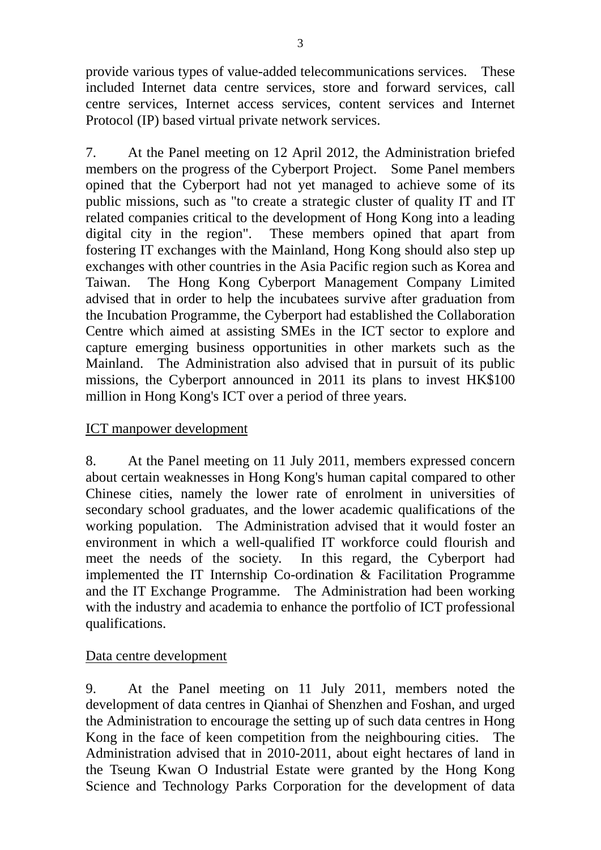provide various types of value-added telecommunications services. These included Internet data centre services, store and forward services, call centre services, Internet access services, content services and Internet Protocol (IP) based virtual private network services.

7. At the Panel meeting on 12 April 2012, the Administration briefed members on the progress of the Cyberport Project. Some Panel members opined that the Cyberport had not yet managed to achieve some of its public missions, such as "to create a strategic cluster of quality IT and IT related companies critical to the development of Hong Kong into a leading digital city in the region". These members opined that apart from fostering IT exchanges with the Mainland, Hong Kong should also step up exchanges with other countries in the Asia Pacific region such as Korea and Taiwan. The Hong Kong Cyberport Management Company Limited advised that in order to help the incubatees survive after graduation from the Incubation Programme, the Cyberport had established the Collaboration Centre which aimed at assisting SMEs in the ICT sector to explore and capture emerging business opportunities in other markets such as the Mainland. The Administration also advised that in pursuit of its public missions, the Cyberport announced in 2011 its plans to invest HK\$100 million in Hong Kong's ICT over a period of three years.

## ICT manpower development

8. At the Panel meeting on 11 July 2011, members expressed concern about certain weaknesses in Hong Kong's human capital compared to other Chinese cities, namely the lower rate of enrolment in universities of secondary school graduates, and the lower academic qualifications of the working population. The Administration advised that it would foster an environment in which a well-qualified IT workforce could flourish and meet the needs of the society. In this regard, the Cyberport had implemented the IT Internship Co-ordination & Facilitation Programme and the IT Exchange Programme. The Administration had been working with the industry and academia to enhance the portfolio of ICT professional qualifications.

#### Data centre development

9. At the Panel meeting on 11 July 2011, members noted the development of data centres in Qianhai of Shenzhen and Foshan, and urged the Administration to encourage the setting up of such data centres in Hong Kong in the face of keen competition from the neighbouring cities. The Administration advised that in 2010-2011, about eight hectares of land in the Tseung Kwan O Industrial Estate were granted by the Hong Kong Science and Technology Parks Corporation for the development of data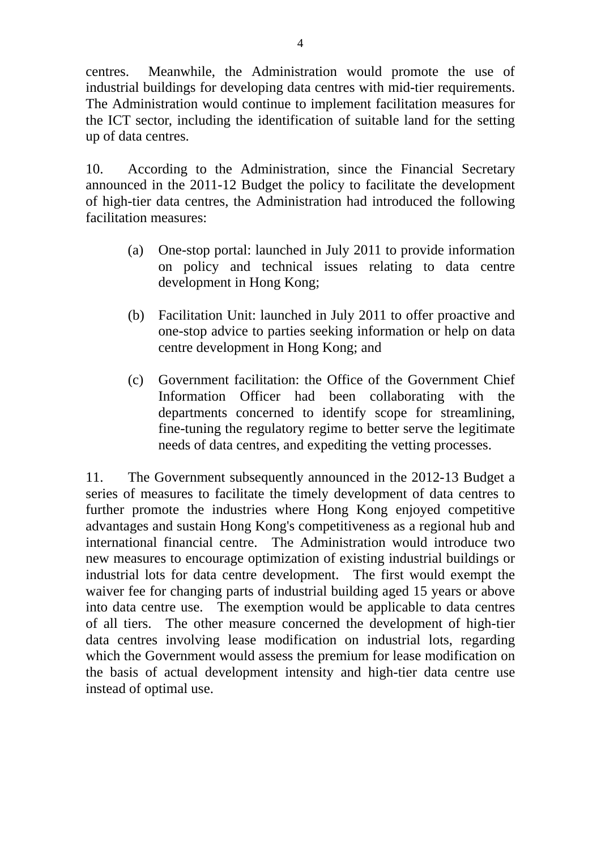centres. Meanwhile, the Administration would promote the use of industrial buildings for developing data centres with mid-tier requirements. The Administration would continue to implement facilitation measures for the ICT sector, including the identification of suitable land for the setting up of data centres.

10. According to the Administration, since the Financial Secretary announced in the 2011-12 Budget the policy to facilitate the development of high-tier data centres, the Administration had introduced the following facilitation measures:

- (a) One-stop portal: launched in July 2011 to provide information on policy and technical issues relating to data centre development in Hong Kong;
- (b) Facilitation Unit: launched in July 2011 to offer proactive and one-stop advice to parties seeking information or help on data centre development in Hong Kong; and
- (c) Government facilitation: the Office of the Government Chief Information Officer had been collaborating with the departments concerned to identify scope for streamlining, fine-tuning the regulatory regime to better serve the legitimate needs of data centres, and expediting the vetting processes.

11. The Government subsequently announced in the 2012-13 Budget a series of measures to facilitate the timely development of data centres to further promote the industries where Hong Kong enjoyed competitive advantages and sustain Hong Kong's competitiveness as a regional hub and international financial centre. The Administration would introduce two new measures to encourage optimization of existing industrial buildings or industrial lots for data centre development. The first would exempt the waiver fee for changing parts of industrial building aged 15 years or above into data centre use. The exemption would be applicable to data centres of all tiers. The other measure concerned the development of high-tier data centres involving lease modification on industrial lots, regarding which the Government would assess the premium for lease modification on the basis of actual development intensity and high-tier data centre use instead of optimal use.